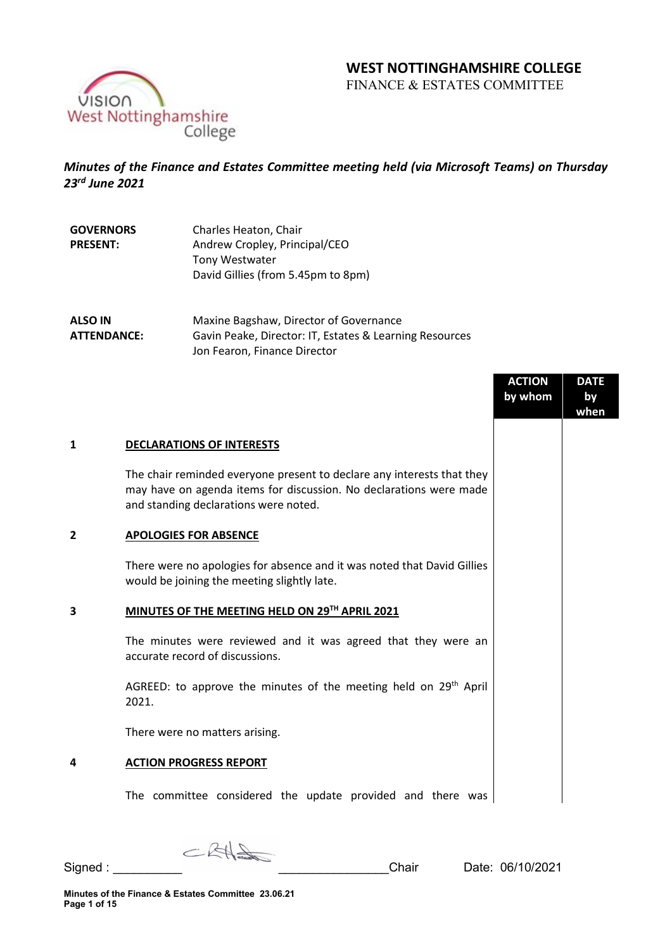# **WEST NOTTINGHAMSHIRE COLLEGE**

FINANCE & ESTATES COMMITTEE



# *Minutes of the Finance and Estates Committee meeting held (via Microsoft Teams) on Thursday 23rd June 2021*

| <b>GOVERNORS</b> | Charles Heaton, Chair              |
|------------------|------------------------------------|
| <b>PRESENT:</b>  | Andrew Cropley, Principal/CEO      |
|                  | <b>Tony Westwater</b>              |
|                  | David Gillies (from 5.45pm to 8pm) |

**ALSO IN ATTENDANCE:** Maxine Bagshaw, Director of Governance Gavin Peake, Director: IT, Estates & Learning Resources Jon Fearon, Finance Director

|                |                                                                                                                                                                                       | <b>ACTION</b><br>by whom | <b>DATE</b><br>by<br>when |
|----------------|---------------------------------------------------------------------------------------------------------------------------------------------------------------------------------------|--------------------------|---------------------------|
| 1              | <b>DECLARATIONS OF INTERESTS</b>                                                                                                                                                      |                          |                           |
|                | The chair reminded everyone present to declare any interests that they<br>may have on agenda items for discussion. No declarations were made<br>and standing declarations were noted. |                          |                           |
| $\overline{2}$ | <b>APOLOGIES FOR ABSENCE</b>                                                                                                                                                          |                          |                           |
|                | There were no apologies for absence and it was noted that David Gillies<br>would be joining the meeting slightly late.                                                                |                          |                           |
| 3              | MINUTES OF THE MEETING HELD ON 29TH APRIL 2021                                                                                                                                        |                          |                           |
|                | The minutes were reviewed and it was agreed that they were an<br>accurate record of discussions.                                                                                      |                          |                           |
|                | AGREED: to approve the minutes of the meeting held on 29 <sup>th</sup> April<br>2021.                                                                                                 |                          |                           |
|                | There were no matters arising.                                                                                                                                                        |                          |                           |
| 4              | <b>ACTION PROGRESS REPORT</b>                                                                                                                                                         |                          |                           |
|                | The committee considered the update provided and there was                                                                                                                            |                          |                           |

 $C R H \triangleleft C$ Signed : <br>
Signed : <br>
Chair Date: 06/10/2021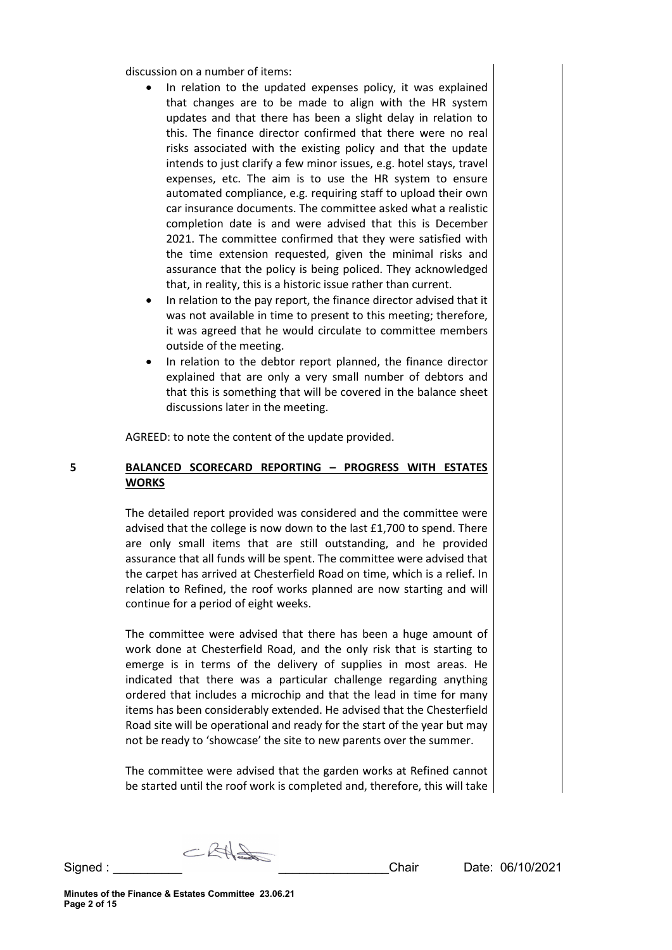discussion on a number of items:

- In relation to the updated expenses policy, it was explained that changes are to be made to align with the HR system updates and that there has been a slight delay in relation to this. The finance director confirmed that there were no real risks associated with the existing policy and that the update intends to just clarify a few minor issues, e.g. hotel stays, travel expenses, etc. The aim is to use the HR system to ensure automated compliance, e.g. requiring staff to upload their own car insurance documents. The committee asked what a realistic completion date is and were advised that this is December 2021. The committee confirmed that they were satisfied with the time extension requested, given the minimal risks and assurance that the policy is being policed. They acknowledged that, in reality, this is a historic issue rather than current.
- In relation to the pay report, the finance director advised that it was not available in time to present to this meeting; therefore, it was agreed that he would circulate to committee members outside of the meeting.
- In relation to the debtor report planned, the finance director explained that are only a very small number of debtors and that this is something that will be covered in the balance sheet discussions later in the meeting.

AGREED: to note the content of the update provided.

# **5 BALANCED SCORECARD REPORTING – PROGRESS WITH ESTATES WORKS**

The detailed report provided was considered and the committee were advised that the college is now down to the last £1,700 to spend. There are only small items that are still outstanding, and he provided assurance that all funds will be spent. The committee were advised that the carpet has arrived at Chesterfield Road on time, which is a relief. In relation to Refined, the roof works planned are now starting and will continue for a period of eight weeks.

The committee were advised that there has been a huge amount of work done at Chesterfield Road, and the only risk that is starting to emerge is in terms of the delivery of supplies in most areas. He indicated that there was a particular challenge regarding anything ordered that includes a microchip and that the lead in time for many items has been considerably extended. He advised that the Chesterfield Road site will be operational and ready for the start of the year but may not be ready to 'showcase' the site to new parents over the summer.

The committee were advised that the garden works at Refined cannot be started until the roof work is completed and, therefore, this will take

 $CRH=$ Signed : \_\_\_\_\_\_\_\_\_\_ \_\_\_\_\_\_\_\_\_\_\_\_\_\_\_\_Chair Date: 06/10/2021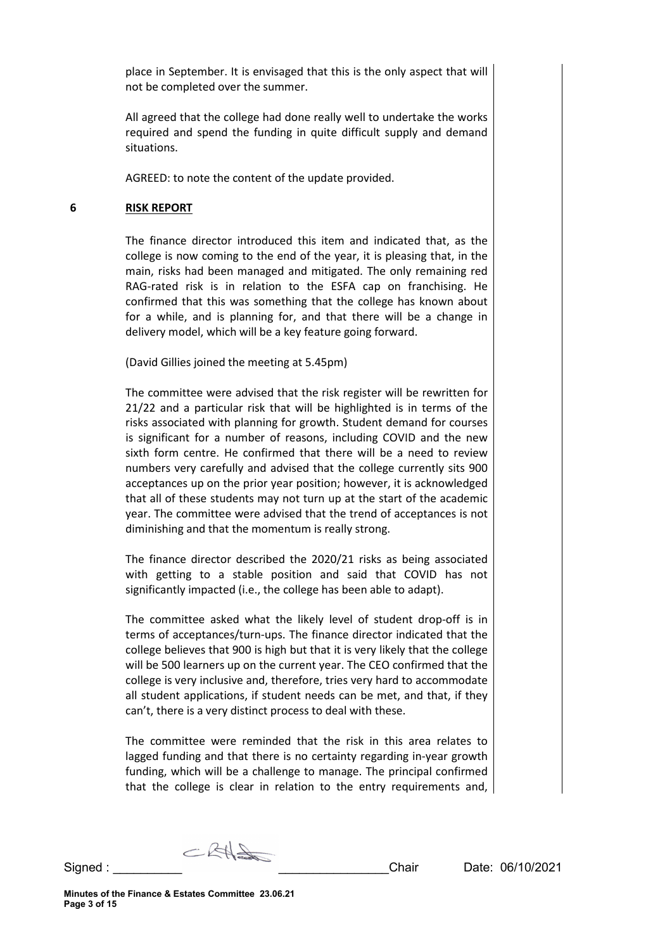place in September. It is envisaged that this is the only aspect that will not be completed over the summer.

All agreed that the college had done really well to undertake the works required and spend the funding in quite difficult supply and demand situations.

AGREED: to note the content of the update provided.

# **6 RISK REPORT**

The finance director introduced this item and indicated that, as the college is now coming to the end of the year, it is pleasing that, in the main, risks had been managed and mitigated. The only remaining red RAG-rated risk is in relation to the ESFA cap on franchising. He confirmed that this was something that the college has known about for a while, and is planning for, and that there will be a change in delivery model, which will be a key feature going forward.

(David Gillies joined the meeting at 5.45pm)

The committee were advised that the risk register will be rewritten for 21/22 and a particular risk that will be highlighted is in terms of the risks associated with planning for growth. Student demand for courses is significant for a number of reasons, including COVID and the new sixth form centre. He confirmed that there will be a need to review numbers very carefully and advised that the college currently sits 900 acceptances up on the prior year position; however, it is acknowledged that all of these students may not turn up at the start of the academic year. The committee were advised that the trend of acceptances is not diminishing and that the momentum is really strong.

The finance director described the 2020/21 risks as being associated with getting to a stable position and said that COVID has not significantly impacted (i.e., the college has been able to adapt).

The committee asked what the likely level of student drop-off is in terms of acceptances/turn-ups. The finance director indicated that the college believes that 900 is high but that it is very likely that the college will be 500 learners up on the current year. The CEO confirmed that the college is very inclusive and, therefore, tries very hard to accommodate all student applications, if student needs can be met, and that, if they can't, there is a very distinct process to deal with these.

The committee were reminded that the risk in this area relates to lagged funding and that there is no certainty regarding in-year growth funding, which will be a challenge to manage. The principal confirmed that the college is clear in relation to the entry requirements and,

CRASO Signed : \_\_\_\_\_\_\_\_\_\_ \_\_\_\_\_\_\_\_\_\_\_\_\_\_\_\_Chair Date: 06/10/2021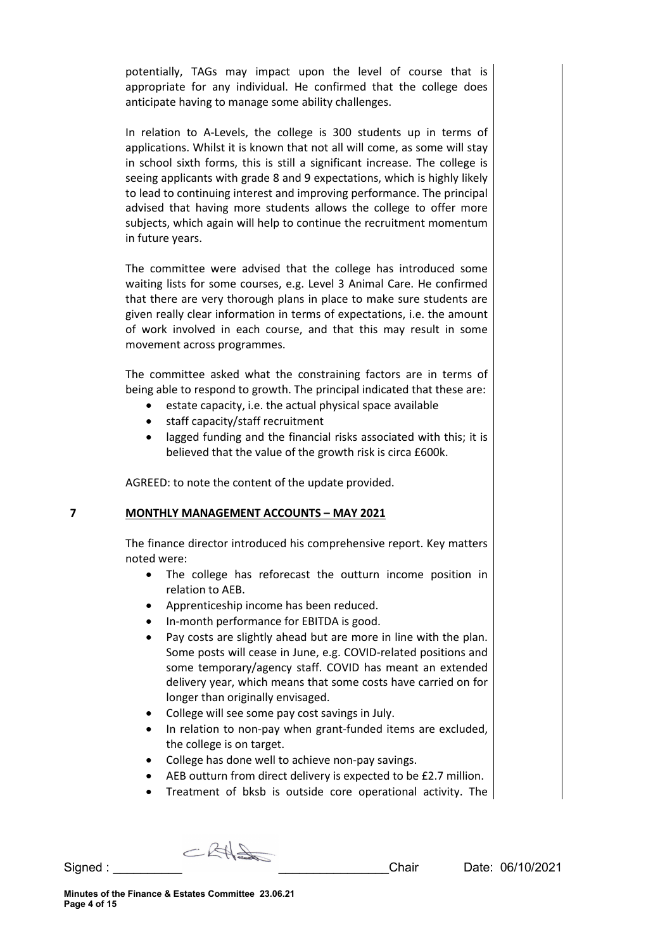potentially, TAGs may impact upon the level of course that is appropriate for any individual. He confirmed that the college does anticipate having to manage some ability challenges.

In relation to A-Levels, the college is 300 students up in terms of applications. Whilst it is known that not all will come, as some will stay in school sixth forms, this is still a significant increase. The college is seeing applicants with grade 8 and 9 expectations, which is highly likely to lead to continuing interest and improving performance. The principal advised that having more students allows the college to offer more subjects, which again will help to continue the recruitment momentum in future years.

The committee were advised that the college has introduced some waiting lists for some courses, e.g. Level 3 Animal Care. He confirmed that there are very thorough plans in place to make sure students are given really clear information in terms of expectations, i.e. the amount of work involved in each course, and that this may result in some movement across programmes.

The committee asked what the constraining factors are in terms of being able to respond to growth. The principal indicated that these are:

- estate capacity, i.e. the actual physical space available
- staff capacity/staff recruitment
- lagged funding and the financial risks associated with this; it is believed that the value of the growth risk is circa £600k.

AGREED: to note the content of the update provided.

#### **7 MONTHLY MANAGEMENT ACCOUNTS – MAY 2021**

The finance director introduced his comprehensive report. Key matters noted were:

- The college has reforecast the outturn income position in relation to AEB.
- Apprenticeship income has been reduced.
- In-month performance for EBITDA is good.
- Pay costs are slightly ahead but are more in line with the plan. Some posts will cease in June, e.g. COVID-related positions and some temporary/agency staff. COVID has meant an extended delivery year, which means that some costs have carried on for longer than originally envisaged.
- College will see some pay cost savings in July.
- In relation to non-pay when grant-funded items are excluded, the college is on target.
- College has done well to achieve non-pay savings.
- AEB outturn from direct delivery is expected to be £2.7 million.
- Treatment of bksb is outside core operational activity. The

 $CKH\rightarrow$ Signed : \_\_\_\_\_\_\_\_\_\_ \_\_\_\_\_\_\_\_\_\_\_\_\_\_\_\_Chair Date: 06/10/2021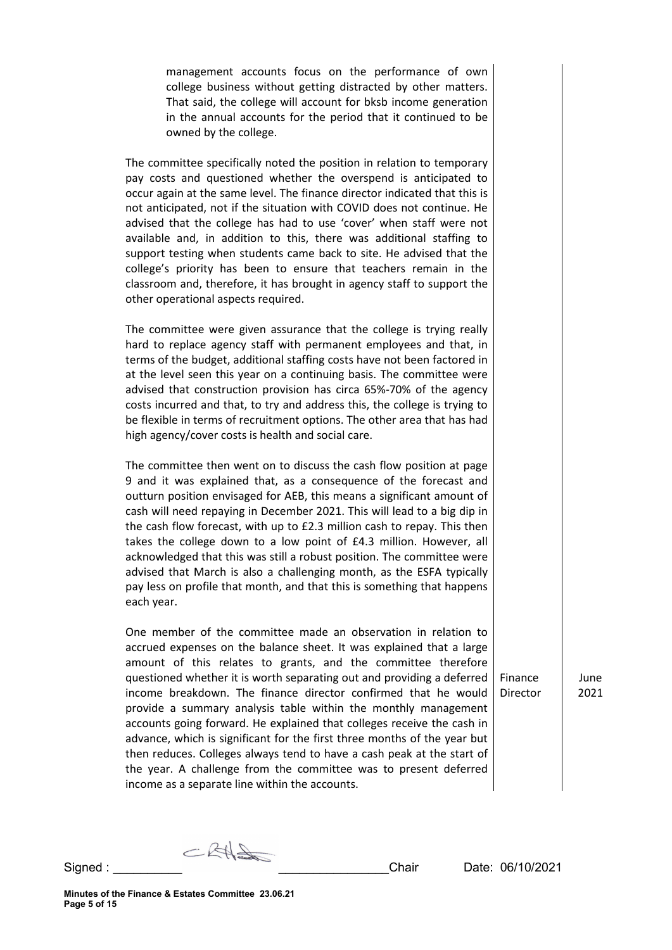management accounts focus on the performance of own college business without getting distracted by other matters. That said, the college will account for bksb income generation in the annual accounts for the period that it continued to be owned by the college.

The committee specifically noted the position in relation to temporary pay costs and questioned whether the overspend is anticipated to occur again at the same level. The finance director indicated that this is not anticipated, not if the situation with COVID does not continue. He advised that the college has had to use 'cover' when staff were not available and, in addition to this, there was additional staffing to support testing when students came back to site. He advised that the college's priority has been to ensure that teachers remain in the classroom and, therefore, it has brought in agency staff to support the other operational aspects required.

The committee were given assurance that the college is trying really hard to replace agency staff with permanent employees and that, in terms of the budget, additional staffing costs have not been factored in at the level seen this year on a continuing basis. The committee were advised that construction provision has circa 65%-70% of the agency costs incurred and that, to try and address this, the college is trying to be flexible in terms of recruitment options. The other area that has had high agency/cover costs is health and social care.

The committee then went on to discuss the cash flow position at page 9 and it was explained that, as a consequence of the forecast and outturn position envisaged for AEB, this means a significant amount of cash will need repaying in December 2021. This will lead to a big dip in the cash flow forecast, with up to £2.3 million cash to repay. This then takes the college down to a low point of £4.3 million. However, all acknowledged that this was still a robust position. The committee were advised that March is also a challenging month, as the ESFA typically pay less on profile that month, and that this is something that happens each year.

One member of the committee made an observation in relation to accrued expenses on the balance sheet. It was explained that a large amount of this relates to grants, and the committee therefore questioned whether it is worth separating out and providing a deferred income breakdown. The finance director confirmed that he would provide a summary analysis table within the monthly management accounts going forward. He explained that colleges receive the cash in advance, which is significant for the first three months of the year but then reduces. Colleges always tend to have a cash peak at the start of the year. A challenge from the committee was to present deferred income as a separate line within the accounts.

June 2021

 $CKH\rightarrow$ Signed : \_\_\_\_\_\_\_\_\_\_ \_\_\_\_\_\_\_\_\_\_\_\_\_\_\_\_Chair Date: 06/10/2021

Finance Director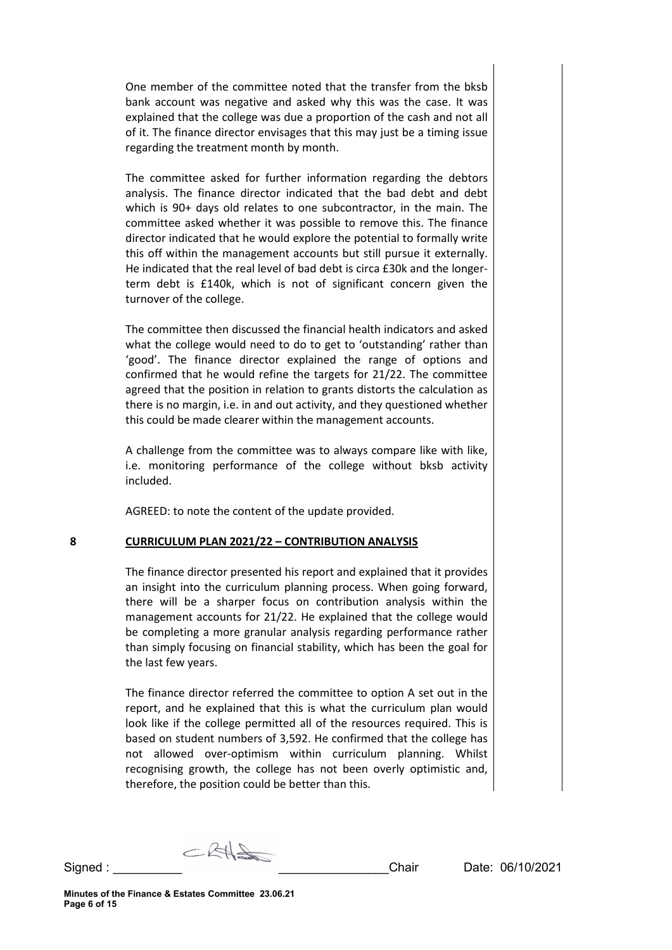One member of the committee noted that the transfer from the bksb bank account was negative and asked why this was the case. It was explained that the college was due a proportion of the cash and not all of it. The finance director envisages that this may just be a timing issue regarding the treatment month by month.

The committee asked for further information regarding the debtors analysis. The finance director indicated that the bad debt and debt which is 90+ days old relates to one subcontractor, in the main. The committee asked whether it was possible to remove this. The finance director indicated that he would explore the potential to formally write this off within the management accounts but still pursue it externally. He indicated that the real level of bad debt is circa £30k and the longerterm debt is £140k, which is not of significant concern given the turnover of the college.

The committee then discussed the financial health indicators and asked what the college would need to do to get to 'outstanding' rather than 'good'. The finance director explained the range of options and confirmed that he would refine the targets for 21/22. The committee agreed that the position in relation to grants distorts the calculation as there is no margin, i.e. in and out activity, and they questioned whether this could be made clearer within the management accounts.

A challenge from the committee was to always compare like with like, i.e. monitoring performance of the college without bksb activity included.

AGREED: to note the content of the update provided.

#### **8 CURRICULUM PLAN 2021/22 – CONTRIBUTION ANALYSIS**

The finance director presented his report and explained that it provides an insight into the curriculum planning process. When going forward, there will be a sharper focus on contribution analysis within the management accounts for 21/22. He explained that the college would be completing a more granular analysis regarding performance rather than simply focusing on financial stability, which has been the goal for the last few years.

The finance director referred the committee to option A set out in the report, and he explained that this is what the curriculum plan would look like if the college permitted all of the resources required. This is based on student numbers of 3,592. He confirmed that the college has not allowed over-optimism within curriculum planning. Whilst recognising growth, the college has not been overly optimistic and, therefore, the position could be better than this.

 $CRA$ Signed : \_\_\_\_\_\_\_\_\_\_ \_\_\_\_\_\_\_\_\_\_\_\_\_\_\_\_Chair Date: 06/10/2021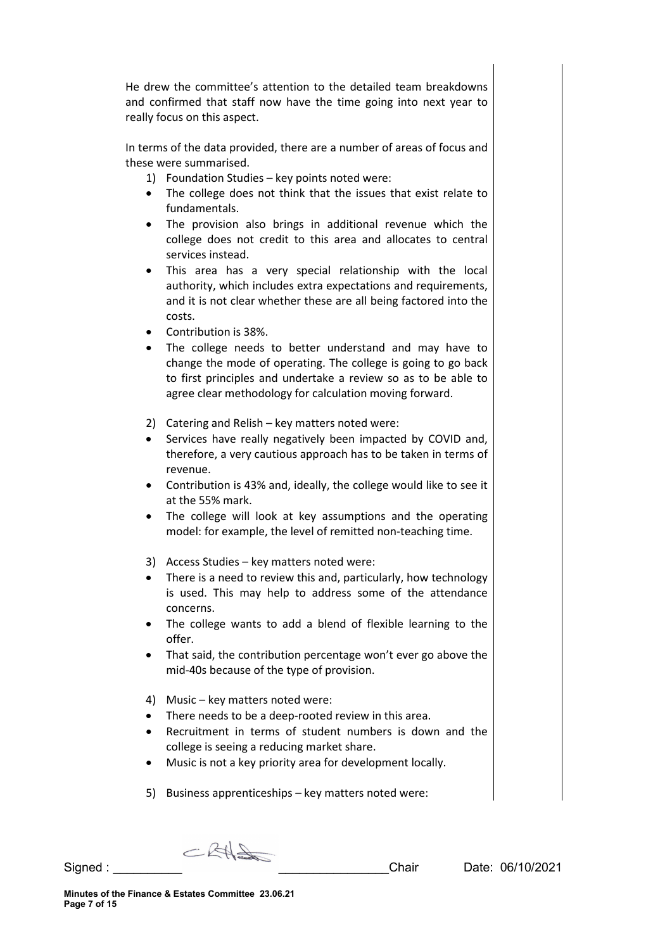He drew the committee's attention to the detailed team breakdowns and confirmed that staff now have the time going into next year to really focus on this aspect.

In terms of the data provided, there are a number of areas of focus and these were summarised.

- 1) Foundation Studies key points noted were:
- The college does not think that the issues that exist relate to fundamentals.
- The provision also brings in additional revenue which the college does not credit to this area and allocates to central services instead.
- This area has a very special relationship with the local authority, which includes extra expectations and requirements, and it is not clear whether these are all being factored into the costs.
- Contribution is 38%.
- The college needs to better understand and may have to change the mode of operating. The college is going to go back to first principles and undertake a review so as to be able to agree clear methodology for calculation moving forward.
- 2) Catering and Relish key matters noted were:
- Services have really negatively been impacted by COVID and, therefore, a very cautious approach has to be taken in terms of revenue.
- Contribution is 43% and, ideally, the college would like to see it at the 55% mark.
- The college will look at key assumptions and the operating model: for example, the level of remitted non-teaching time.
- 3) Access Studies key matters noted were:
- There is a need to review this and, particularly, how technology is used. This may help to address some of the attendance concerns.
- The college wants to add a blend of flexible learning to the offer.
- That said, the contribution percentage won't ever go above the mid-40s because of the type of provision.
- 4) Music key matters noted were:
- There needs to be a deep-rooted review in this area.
- Recruitment in terms of student numbers is down and the college is seeing a reducing market share.
- Music is not a key priority area for development locally.
- 5) Business apprenticeships key matters noted were:

 $C$ RH

Signed : \_\_\_\_\_\_\_\_\_\_ \_\_\_\_\_\_\_\_\_\_\_\_\_\_\_\_Chair Date: 06/10/2021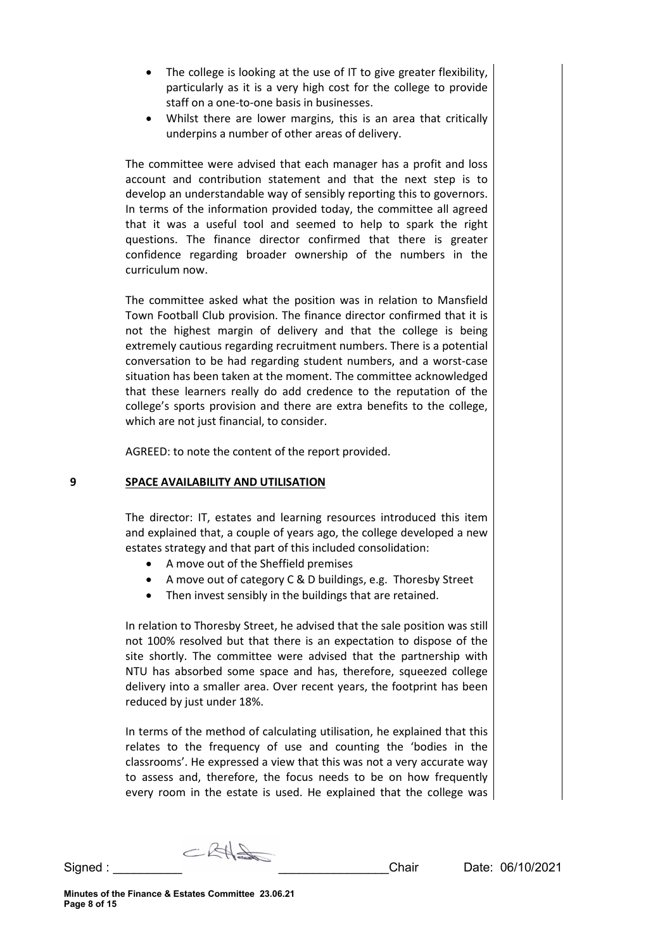- The college is looking at the use of IT to give greater flexibility. particularly as it is a very high cost for the college to provide staff on a one-to-one basis in businesses.
- Whilst there are lower margins, this is an area that critically underpins a number of other areas of delivery.

The committee were advised that each manager has a profit and loss account and contribution statement and that the next step is to develop an understandable way of sensibly reporting this to governors. In terms of the information provided today, the committee all agreed that it was a useful tool and seemed to help to spark the right questions. The finance director confirmed that there is greater confidence regarding broader ownership of the numbers in the curriculum now.

The committee asked what the position was in relation to Mansfield Town Football Club provision. The finance director confirmed that it is not the highest margin of delivery and that the college is being extremely cautious regarding recruitment numbers. There is a potential conversation to be had regarding student numbers, and a worst-case situation has been taken at the moment. The committee acknowledged that these learners really do add credence to the reputation of the college's sports provision and there are extra benefits to the college, which are not just financial, to consider.

AGREED: to note the content of the report provided.

# **9 SPACE AVAILABILITY AND UTILISATION**

The director: IT, estates and learning resources introduced this item and explained that, a couple of years ago, the college developed a new estates strategy and that part of this included consolidation:

- A move out of the Sheffield premises
- A move out of category C & D buildings, e.g. Thoresby Street
- Then invest sensibly in the buildings that are retained.

In relation to Thoresby Street, he advised that the sale position was still not 100% resolved but that there is an expectation to dispose of the site shortly. The committee were advised that the partnership with NTU has absorbed some space and has, therefore, squeezed college delivery into a smaller area. Over recent years, the footprint has been reduced by just under 18%.

In terms of the method of calculating utilisation, he explained that this relates to the frequency of use and counting the 'bodies in the classrooms'. He expressed a view that this was not a very accurate way to assess and, therefore, the focus needs to be on how frequently every room in the estate is used. He explained that the college was

 $CRH=$ Signed : \_\_\_\_\_\_\_\_\_\_ \_\_\_\_\_\_\_\_\_\_\_\_\_\_\_\_Chair Date: 06/10/2021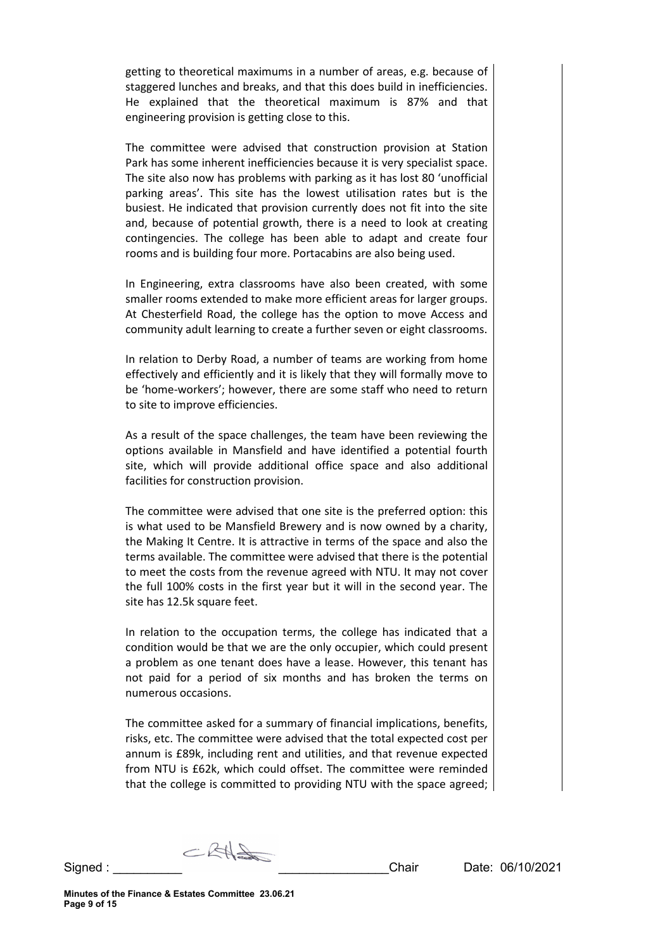getting to theoretical maximums in a number of areas, e.g. because of staggered lunches and breaks, and that this does build in inefficiencies. He explained that the theoretical maximum is 87% and that engineering provision is getting close to this.

The committee were advised that construction provision at Station Park has some inherent inefficiencies because it is very specialist space. The site also now has problems with parking as it has lost 80 'unofficial parking areas'. This site has the lowest utilisation rates but is the busiest. He indicated that provision currently does not fit into the site and, because of potential growth, there is a need to look at creating contingencies. The college has been able to adapt and create four rooms and is building four more. Portacabins are also being used.

In Engineering, extra classrooms have also been created, with some smaller rooms extended to make more efficient areas for larger groups. At Chesterfield Road, the college has the option to move Access and community adult learning to create a further seven or eight classrooms.

In relation to Derby Road, a number of teams are working from home effectively and efficiently and it is likely that they will formally move to be 'home-workers'; however, there are some staff who need to return to site to improve efficiencies.

As a result of the space challenges, the team have been reviewing the options available in Mansfield and have identified a potential fourth site, which will provide additional office space and also additional facilities for construction provision.

The committee were advised that one site is the preferred option: this is what used to be Mansfield Brewery and is now owned by a charity, the Making It Centre. It is attractive in terms of the space and also the terms available. The committee were advised that there is the potential to meet the costs from the revenue agreed with NTU. It may not cover the full 100% costs in the first year but it will in the second year. The site has 12.5k square feet.

In relation to the occupation terms, the college has indicated that a condition would be that we are the only occupier, which could present a problem as one tenant does have a lease. However, this tenant has not paid for a period of six months and has broken the terms on numerous occasions.

The committee asked for a summary of financial implications, benefits, risks, etc. The committee were advised that the total expected cost per annum is £89k, including rent and utilities, and that revenue expected from NTU is £62k, which could offset. The committee were reminded that the college is committed to providing NTU with the space agreed;

 $CKH\rightarrow$ Signed : \_\_\_\_\_\_\_\_\_\_ \_\_\_\_\_\_\_\_\_\_\_\_\_\_\_\_Chair Date: 06/10/2021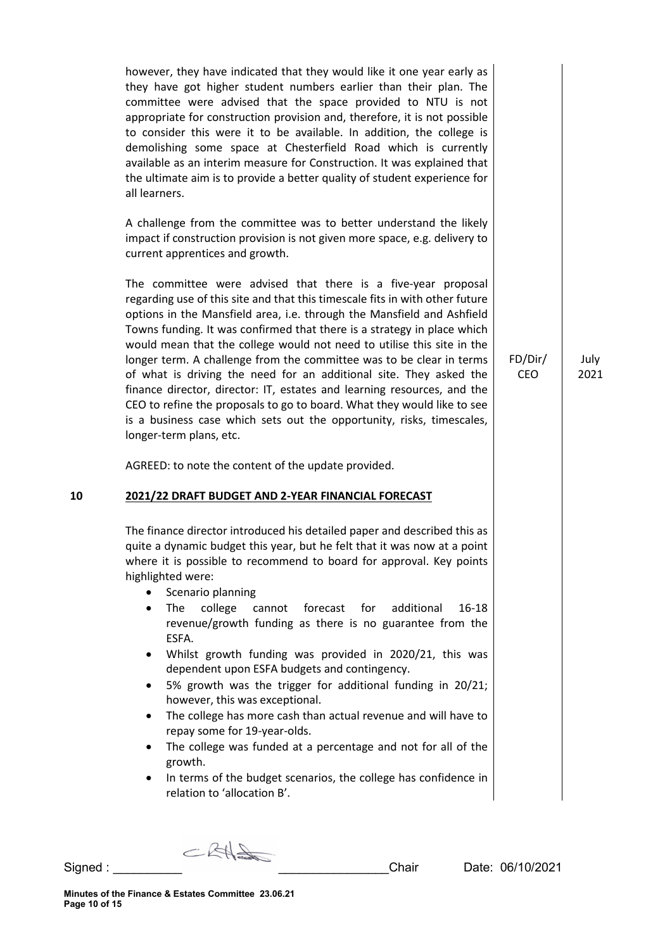however, they have indicated that they would like it one year early as they have got higher student numbers earlier than their plan. The committee were advised that the space provided to NTU is not appropriate for construction provision and, therefore, it is not possible to consider this were it to be available. In addition, the college is demolishing some space at Chesterfield Road which is currently available as an interim measure for Construction. It was explained that the ultimate aim is to provide a better quality of student experience for all learners.

A challenge from the committee was to better understand the likely impact if construction provision is not given more space, e.g. delivery to current apprentices and growth.

The committee were advised that there is a five-year proposal regarding use of this site and that this timescale fits in with other future options in the Mansfield area, i.e. through the Mansfield and Ashfield Towns funding. It was confirmed that there is a strategy in place which would mean that the college would not need to utilise this site in the longer term. A challenge from the committee was to be clear in terms of what is driving the need for an additional site. They asked the finance director, director: IT, estates and learning resources, and the CEO to refine the proposals to go to board. What they would like to see is a business case which sets out the opportunity, risks, timescales, longer-term plans, etc.

AGREED: to note the content of the update provided.

# **10 2021/22 DRAFT BUDGET AND 2-YEAR FINANCIAL FORECAST**

The finance director introduced his detailed paper and described this as quite a dynamic budget this year, but he felt that it was now at a point where it is possible to recommend to board for approval. Key points highlighted were:

- Scenario planning
- The college cannot forecast for additional 16-18 revenue/growth funding as there is no guarantee from the ESFA.
- Whilst growth funding was provided in 2020/21, this was dependent upon ESFA budgets and contingency.
- 5% growth was the trigger for additional funding in 20/21; however, this was exceptional.
- The college has more cash than actual revenue and will have to repay some for 19-year-olds.
- The college was funded at a percentage and not for all of the growth.
- In terms of the budget scenarios, the college has confidence in relation to 'allocation B'.

 $CKH=$ 

**Minutes of the Finance & Estates Committee 23.06.21 Page 10 of 15**

July 2021

FD/Dir/ CEO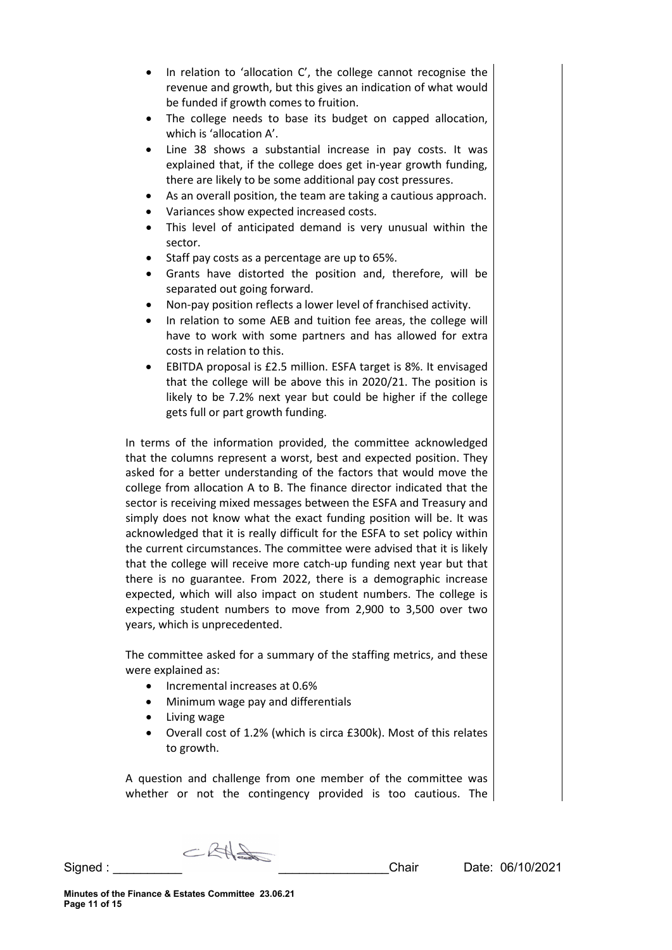- In relation to 'allocation C', the college cannot recognise the revenue and growth, but this gives an indication of what would be funded if growth comes to fruition.
- The college needs to base its budget on capped allocation, which is 'allocation A'.
- Line 38 shows a substantial increase in pay costs. It was explained that, if the college does get in-year growth funding, there are likely to be some additional pay cost pressures.
- As an overall position, the team are taking a cautious approach.
- Variances show expected increased costs.
- This level of anticipated demand is very unusual within the sector.
- Staff pay costs as a percentage are up to 65%.
- Grants have distorted the position and, therefore, will be separated out going forward.
- Non-pay position reflects a lower level of franchised activity.
- In relation to some AEB and tuition fee areas, the college will have to work with some partners and has allowed for extra costs in relation to this.
- EBITDA proposal is £2.5 million. ESFA target is 8%. It envisaged that the college will be above this in 2020/21. The position is likely to be 7.2% next year but could be higher if the college gets full or part growth funding.

In terms of the information provided, the committee acknowledged that the columns represent a worst, best and expected position. They asked for a better understanding of the factors that would move the college from allocation A to B. The finance director indicated that the sector is receiving mixed messages between the ESFA and Treasury and simply does not know what the exact funding position will be. It was acknowledged that it is really difficult for the ESFA to set policy within the current circumstances. The committee were advised that it is likely that the college will receive more catch-up funding next year but that there is no guarantee. From 2022, there is a demographic increase expected, which will also impact on student numbers. The college is expecting student numbers to move from 2,900 to 3,500 over two years, which is unprecedented.

The committee asked for a summary of the staffing metrics, and these were explained as:

- Incremental increases at 0.6%
- Minimum wage pay and differentials
- Living wage
- Overall cost of 1.2% (which is circa £300k). Most of this relates to growth.

A question and challenge from one member of the committee was whether or not the contingency provided is too cautious. The

 $CKH\rightarrow$ 

Signed : \_\_\_\_\_\_\_\_\_\_ \_\_\_\_\_\_\_\_\_\_\_\_\_\_\_\_Chair Date: 06/10/2021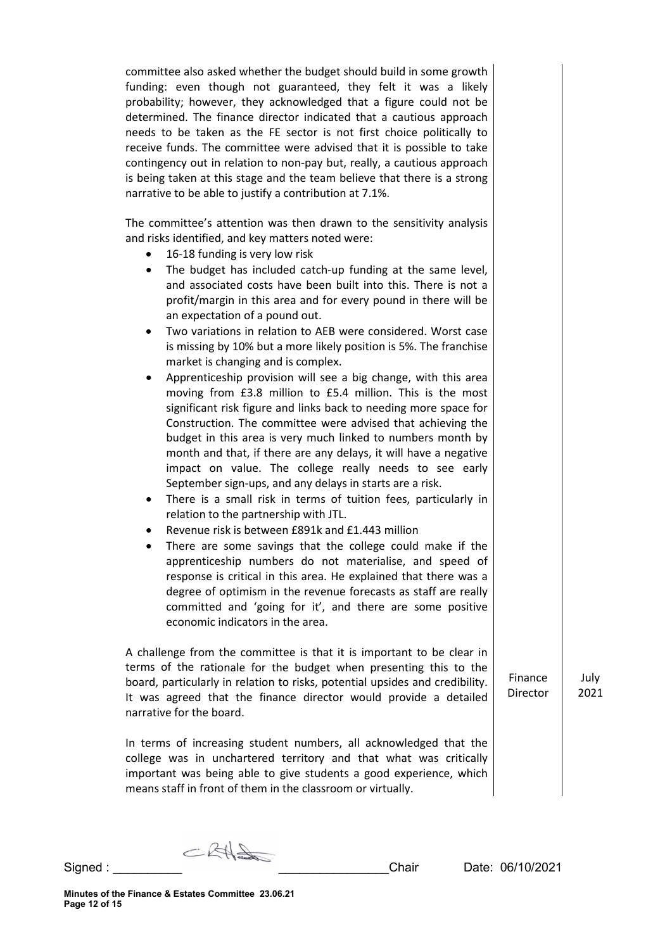committee also asked whether the budget should build in some growth funding: even though not guaranteed, they felt it was a likely probability; however, they acknowledged that a figure could not be determined. The finance director indicated that a cautious approach needs to be taken as the FE sector is not first choice politically to receive funds. The committee were advised that it is possible to take contingency out in relation to non-pay but, really, a cautious approach is being taken at this stage and the team believe that there is a strong narrative to be able to justify a contribution at 7.1%.

The committee's attention was then drawn to the sensitivity analysis and risks identified, and key matters noted were:

- 16-18 funding is very low risk
- The budget has included catch-up funding at the same level, and associated costs have been built into this. There is not a profit/margin in this area and for every pound in there will be an expectation of a pound out.
- Two variations in relation to AEB were considered. Worst case is missing by 10% but a more likely position is 5%. The franchise market is changing and is complex.
- Apprenticeship provision will see a big change, with this area moving from £3.8 million to £5.4 million. This is the most significant risk figure and links back to needing more space for Construction. The committee were advised that achieving the budget in this area is very much linked to numbers month by month and that, if there are any delays, it will have a negative impact on value. The college really needs to see early September sign-ups, and any delays in starts are a risk.
- There is a small risk in terms of tuition fees, particularly in relation to the partnership with JTL.
- Revenue risk is between £891k and £1.443 million
- There are some savings that the college could make if the apprenticeship numbers do not materialise, and speed of response is critical in this area. He explained that there was a degree of optimism in the revenue forecasts as staff are really committed and 'going for it', and there are some positive economic indicators in the area.

A challenge from the committee is that it is important to be clear in terms of the rationale for the budget when presenting this to the board, particularly in relation to risks, potential upsides and credibility. It was agreed that the finance director would provide a detailed narrative for the board.

In terms of increasing student numbers, all acknowledged that the college was in unchartered territory and that what was critically important was being able to give students a good experience, which means staff in front of them in the classroom or virtually.

Finance Director July 2021

CRHS Signed : \_\_\_\_\_\_\_\_\_\_ \_\_\_\_\_\_\_\_\_\_\_\_\_\_\_\_Chair Date: 06/10/2021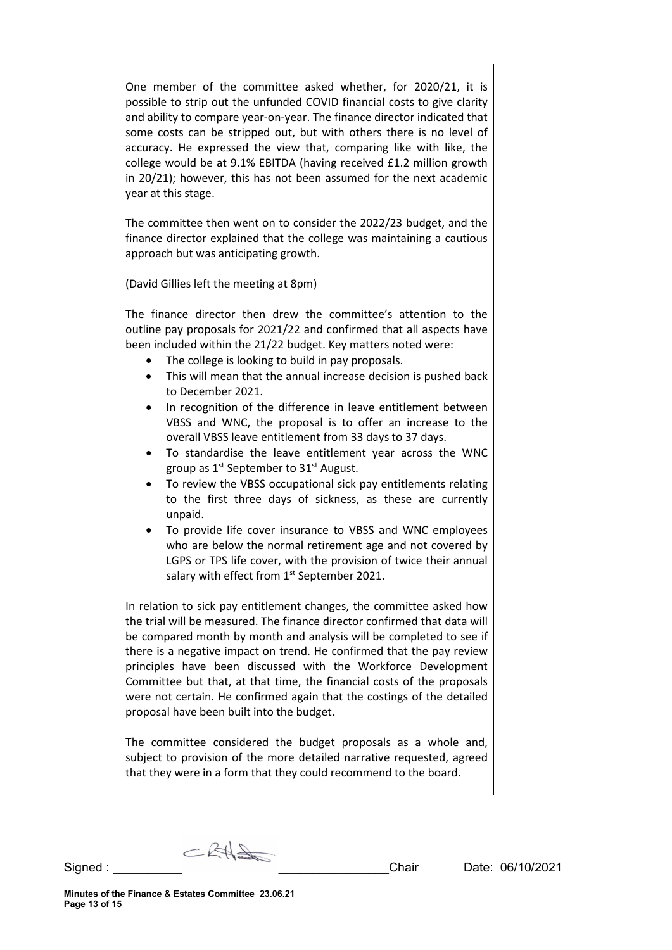One member of the committee asked whether, for 2020/21, it is possible to strip out the unfunded COVID financial costs to give clarity and ability to compare year-on-year. The finance director indicated that some costs can be stripped out, but with others there is no level of accuracy. He expressed the view that, comparing like with like, the college would be at 9.1% EBITDA (having received £1.2 million growth in 20/21); however, this has not been assumed for the next academic year at this stage.

The committee then went on to consider the 2022/23 budget, and the finance director explained that the college was maintaining a cautious approach but was anticipating growth.

(David Gillies left the meeting at 8pm)

The finance director then drew the committee's attention to the outline pay proposals for 2021/22 and confirmed that all aspects have been included within the 21/22 budget. Key matters noted were:

- The college is looking to build in pay proposals.
- This will mean that the annual increase decision is pushed back to December 2021.
- In recognition of the difference in leave entitlement between VBSS and WNC, the proposal is to offer an increase to the overall VBSS leave entitlement from 33 days to 37 days.
- To standardise the leave entitlement year across the WNC group as 1st September to 31st August.
- To review the VBSS occupational sick pay entitlements relating to the first three days of sickness, as these are currently unpaid.
- To provide life cover insurance to VBSS and WNC employees who are below the normal retirement age and not covered by LGPS or TPS life cover, with the provision of twice their annual salary with effect from 1<sup>st</sup> September 2021.

In relation to sick pay entitlement changes, the committee asked how the trial will be measured. The finance director confirmed that data will be compared month by month and analysis will be completed to see if there is a negative impact on trend. He confirmed that the pay review principles have been discussed with the Workforce Development Committee but that, at that time, the financial costs of the proposals were not certain. He confirmed again that the costings of the detailed proposal have been built into the budget.

The committee considered the budget proposals as a whole and, subject to provision of the more detailed narrative requested, agreed that they were in a form that they could recommend to the board.

 $CKH\rightarrow$ Signed : \_\_\_\_\_\_\_\_\_\_ \_\_\_\_\_\_\_\_\_\_\_\_\_\_\_\_Chair Date: 06/10/2021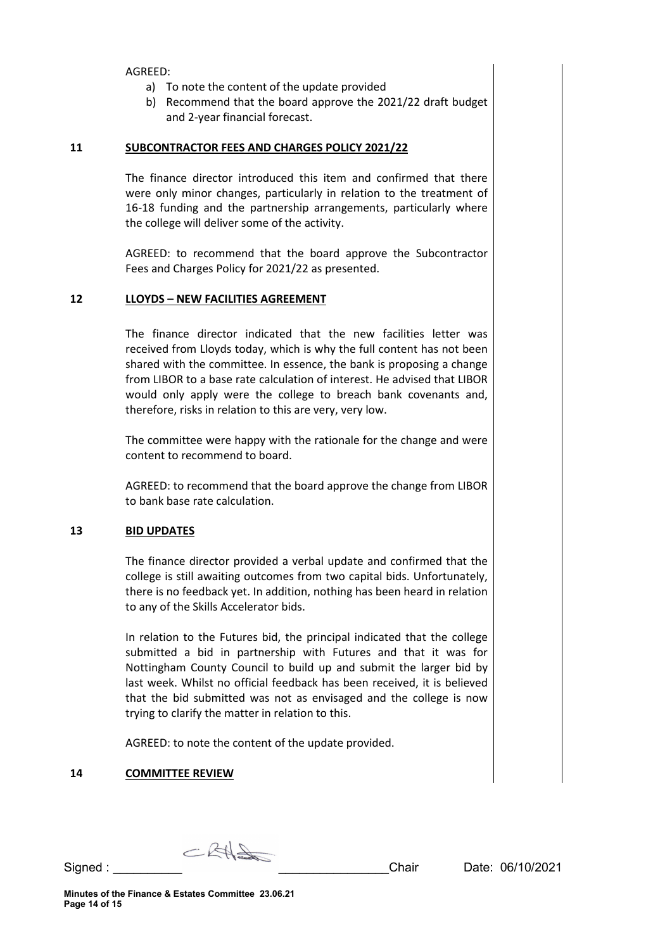AGREED:

- a) To note the content of the update provided
- b) Recommend that the board approve the 2021/22 draft budget and 2-year financial forecast.

## **11 SUBCONTRACTOR FEES AND CHARGES POLICY 2021/22**

The finance director introduced this item and confirmed that there were only minor changes, particularly in relation to the treatment of 16-18 funding and the partnership arrangements, particularly where the college will deliver some of the activity.

AGREED: to recommend that the board approve the Subcontractor Fees and Charges Policy for 2021/22 as presented.

# **12 LLOYDS – NEW FACILITIES AGREEMENT**

The finance director indicated that the new facilities letter was received from Lloyds today, which is why the full content has not been shared with the committee. In essence, the bank is proposing a change from LIBOR to a base rate calculation of interest. He advised that LIBOR would only apply were the college to breach bank covenants and, therefore, risks in relation to this are very, very low.

The committee were happy with the rationale for the change and were content to recommend to board.

AGREED: to recommend that the board approve the change from LIBOR to bank base rate calculation.

# **13 BID UPDATES**

The finance director provided a verbal update and confirmed that the college is still awaiting outcomes from two capital bids. Unfortunately, there is no feedback yet. In addition, nothing has been heard in relation to any of the Skills Accelerator bids.

In relation to the Futures bid, the principal indicated that the college submitted a bid in partnership with Futures and that it was for Nottingham County Council to build up and submit the larger bid by last week. Whilst no official feedback has been received, it is believed that the bid submitted was not as envisaged and the college is now trying to clarify the matter in relation to this.

AGREED: to note the content of the update provided.

#### **14 COMMITTEE REVIEW**

 $CRH=$ Signed : \_\_\_\_\_\_\_\_\_\_ \_\_\_\_\_\_\_\_\_\_\_\_\_\_\_\_Chair Date: 06/10/2021